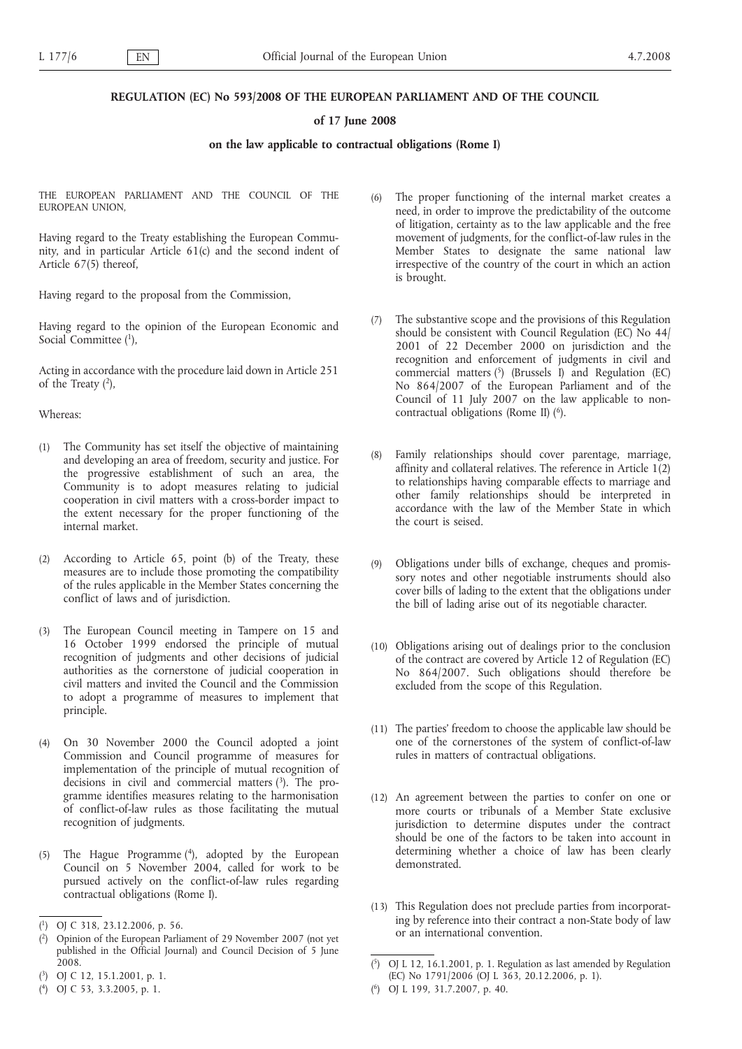# **REGULATION (EC) No 593/2008 OF THE EUROPEAN PARLIAMENT AND OF THE COUNCIL**

# **of 17 June 2008**

# **on the law applicable to contractual obligations (Rome I)**

THE EUROPEAN PARLIAMENT AND THE COUNCIL OF THE EUROPEAN UNION,

Having regard to the Treaty establishing the European Community, and in particular Article 61(c) and the second indent of Article 67(5) thereof,

Having regard to the proposal from the Commission,

Having regard to the opinion of the European Economic and Social Committee (1),

Acting in accordance with the procedure laid down in Article 251 of the Treaty  $(2)$ ,

# Whereas:

- (1) The Community has set itself the objective of maintaining and developing an area of freedom, security and justice. For the progressive establishment of such an area, the Community is to adopt measures relating to judicial cooperation in civil matters with a cross-border impact to the extent necessary for the proper functioning of the internal market.
- (2) According to Article 65, point (b) of the Treaty, these measures are to include those promoting the compatibility of the rules applicable in the Member States concerning the conflict of laws and of jurisdiction.
- (3) The European Council meeting in Tampere on 15 and 16 October 1999 endorsed the principle of mutual recognition of judgments and other decisions of judicial authorities as the cornerstone of judicial cooperation in civil matters and invited the Council and the Commission to adopt a programme of measures to implement that principle.
- (4) On 30 November 2000 the Council adopted a joint Commission and Council programme of measures for implementation of the principle of mutual recognition of decisions in civil and commercial matters (3). The programme identifies measures relating to the harmonisation of conflict-of-law rules as those facilitating the mutual recognition of judgments.
- (5) The Hague Programme (4), adopted by the European Council on 5 November 2004, called for work to be pursued actively on the conflict-of-law rules regarding contractual obligations (Rome I).

- ( 2) Opinion of the European Parliament of 29 November 2007 (not yet published in the Official Journal) and Council Decision of 5 June  $2008$
- ( 3) OJ C 12, 15.1.2001, p. 1.
- ( 4) OJ C 53, 3.3.2005, p. 1.
- (6) The proper functioning of the internal market creates a need, in order to improve the predictability of the outcome of litigation, certainty as to the law applicable and the free movement of judgments, for the conflict-of-law rules in the Member States to designate the same national law irrespective of the country of the court in which an action is brought.
- (7) The substantive scope and the provisions of this Regulation should be consistent with Council Regulation (EC) No 44/ 2001 of 22 December 2000 on jurisdiction and the recognition and enforcement of judgments in civil and commercial matters  $(^5)$  (Brussels I) and Regulation (EC) No 864/2007 of the European Parliament and of the Council of 11 July 2007 on the law applicable to noncontractual obligations (Rome II) (<sup>6</sup>).
- (8) Family relationships should cover parentage, marriage, affinity and collateral relatives. The reference in Article  $1(2)$ to relationships having comparable effects to marriage and other family relationships should be interpreted in accordance with the law of the Member State in which the court is seised.
- (9) Obligations under bills of exchange, cheques and promissory notes and other negotiable instruments should also cover bills of lading to the extent that the obligations under the bill of lading arise out of its negotiable character.
- (10) Obligations arising out of dealings prior to the conclusion of the contract are covered by Article 12 of Regulation (EC) No 864/2007. Such obligations should therefore be excluded from the scope of this Regulation.
- (11) The parties' freedom to choose the applicable law should be one of the cornerstones of the system of conflict-of-law rules in matters of contractual obligations.
- (12) An agreement between the parties to confer on one or more courts or tribunals of a Member State exclusive jurisdiction to determine disputes under the contract should be one of the factors to be taken into account in determining whether a choice of law has been clearly demonstrated.
- (13) This Regulation does not preclude parties from incorporating by reference into their contract a non-State body of law or an international convention.

<sup>(</sup> 1) OJ C 318, 23.12.2006, p. 56.

<sup>(</sup> 5) OJ L 12, 16.1.2001, p. 1. Regulation as last amended by Regulation (EC) No 1791/2006 (OJ L 363, 20.12.2006, p. 1).

<sup>(</sup> 6) OJ L 199, 31.7.2007, p. 40.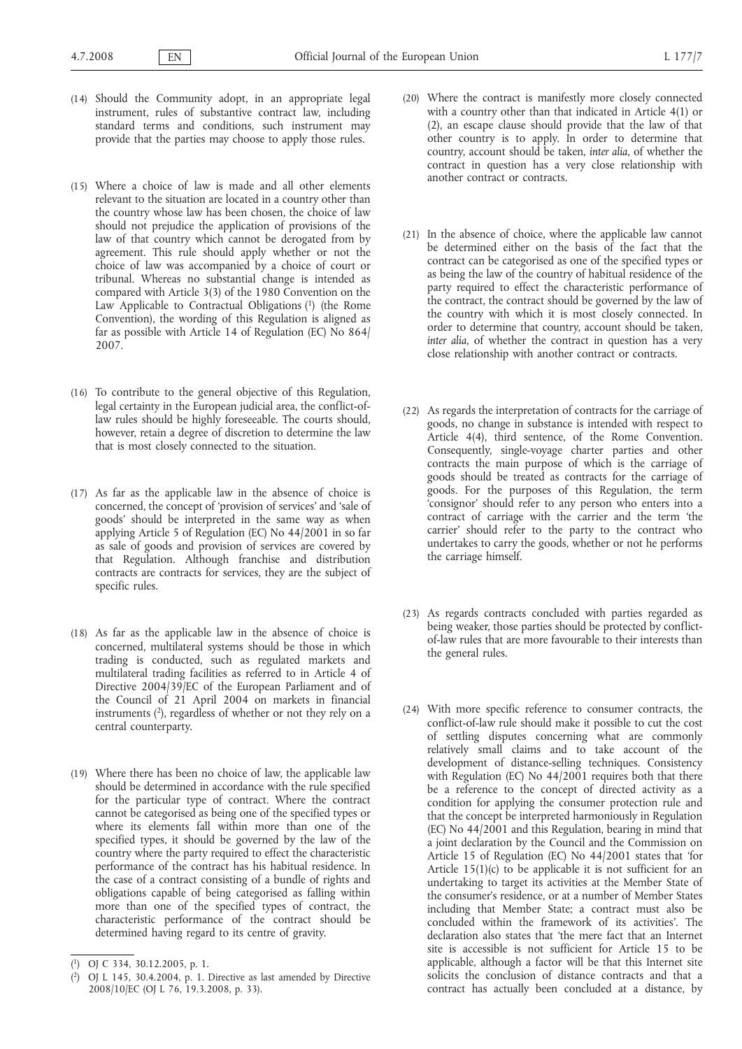- (14) Should the Community adopt, in an appropriate legal instrument, rules of substantive contract law, including standard terms and conditions, such instrument may provide that the parties may choose to apply those rules.
- (15) Where a choice of law is made and all other elements relevant to the situation are located in a country other than the country whose law has been chosen, the choice of law should not prejudice the application of provisions of the law of that country which cannot be derogated from by agreement. This rule should apply whether or not the choice of law was accompanied by a choice of court or tribunal. Whereas no substantial change is intended as compared with Article 3(3) of the 1980 Convention on the Law Applicable to Contractual Obligations (1) (the Rome Convention), the wording of this Regulation is aligned as far as possible with Article 14 of Regulation (EC) No 864/ 2007.
- (16) To contribute to the general objective of this Regulation, legal certainty in the European judicial area, the conflict-oflaw rules should be highly foreseeable. The courts should, however, retain a degree of discretion to determine the law that is most closely connected to the situation.
- (17) As far as the applicable law in the absence of choice is concerned, the concept of 'provision of services' and 'sale of goods' should be interpreted in the same way as when applying Article 5 of Regulation (EC) No 44/2001 in so far as sale of goods and provision of services are covered by that Regulation. Although franchise and distribution contracts are contracts for services, they are the subject of specific rules.
- (18) As far as the applicable law in the absence of choice is concerned, multilateral systems should be those in which trading is conducted, such as regulated markets and multilateral trading facilities as referred to in Article 4 of Directive 2004/39/EC of the European Parliament and of the Council of 21 April 2004 on markets in financial instruments  $(2)$ , regardless of whether or not they rely on a central counterparty.
- (19) Where there has been no choice of law, the applicable law should be determined in accordance with the rule specified for the particular type of contract. Where the contract cannot be categorised as being one of the specified types or where its elements fall within more than one of the specified types, it should be governed by the law of the country where the party required to effect the characteristic performance of the contract has his habitual residence. In the case of a contract consisting of a bundle of rights and obligations capable of being categorised as falling within more than one of the specified types of contract, the characteristic performance of the contract should be determined having regard to its centre of gravity.
- (20) Where the contract is manifestly more closely connected with a country other than that indicated in Article 4(1) or (2), an escape clause should provide that the law of that other country is to apply. In order to determine that country, account should be taken, *inter alia*, of whether the contract in question has a very close relationship with another contract or contracts.
- (21) In the absence of choice, where the applicable law cannot be determined either on the basis of the fact that the contract can be categorised as one of the specified types or as being the law of the country of habitual residence of the party required to effect the characteristic performance of the contract, the contract should be governed by the law of the country with which it is most closely connected. In order to determine that country, account should be taken, *inter alia*, of whether the contract in question has a very close relationship with another contract or contracts.
- (22) As regards the interpretation of contracts for the carriage of goods, no change in substance is intended with respect to Article 4(4), third sentence, of the Rome Convention. Consequently, single-voyage charter parties and other contracts the main purpose of which is the carriage of goods should be treated as contracts for the carriage of goods. For the purposes of this Regulation, the term 'consignor' should refer to any person who enters into a contract of carriage with the carrier and the term 'the carrier' should refer to the party to the contract who undertakes to carry the goods, whether or not he performs the carriage himself.
- (23) As regards contracts concluded with parties regarded as being weaker, those parties should be protected by conflictof-law rules that are more favourable to their interests than the general rules.
- (24) With more specific reference to consumer contracts, the conflict-of-law rule should make it possible to cut the cost of settling disputes concerning what are commonly relatively small claims and to take account of the development of distance-selling techniques. Consistency with Regulation (EC) No 44/2001 requires both that there be a reference to the concept of directed activity as a condition for applying the consumer protection rule and that the concept be interpreted harmoniously in Regulation (EC) No 44/2001 and this Regulation, bearing in mind that a joint declaration by the Council and the Commission on Article 15 of Regulation (EC) No 44/2001 states that 'for Article  $15(1)(c)$  to be applicable it is not sufficient for an undertaking to target its activities at the Member State of the consumer's residence, or at a number of Member States including that Member State; a contract must also be concluded within the framework of its activities'. The declaration also states that 'the mere fact that an Internet site is accessible is not sufficient for Article 15 to be applicable, although a factor will be that this Internet site solicits the conclusion of distance contracts and that a contract has actually been concluded at a distance, by

<sup>(</sup> 1) OJ C 334, 30.12.2005, p. 1.

<sup>(</sup> 2) OJ L 145, 30.4.2004, p. 1. Directive as last amended by Directive 2008/10/EC (OJ L 76, 19.3.2008, p. 33).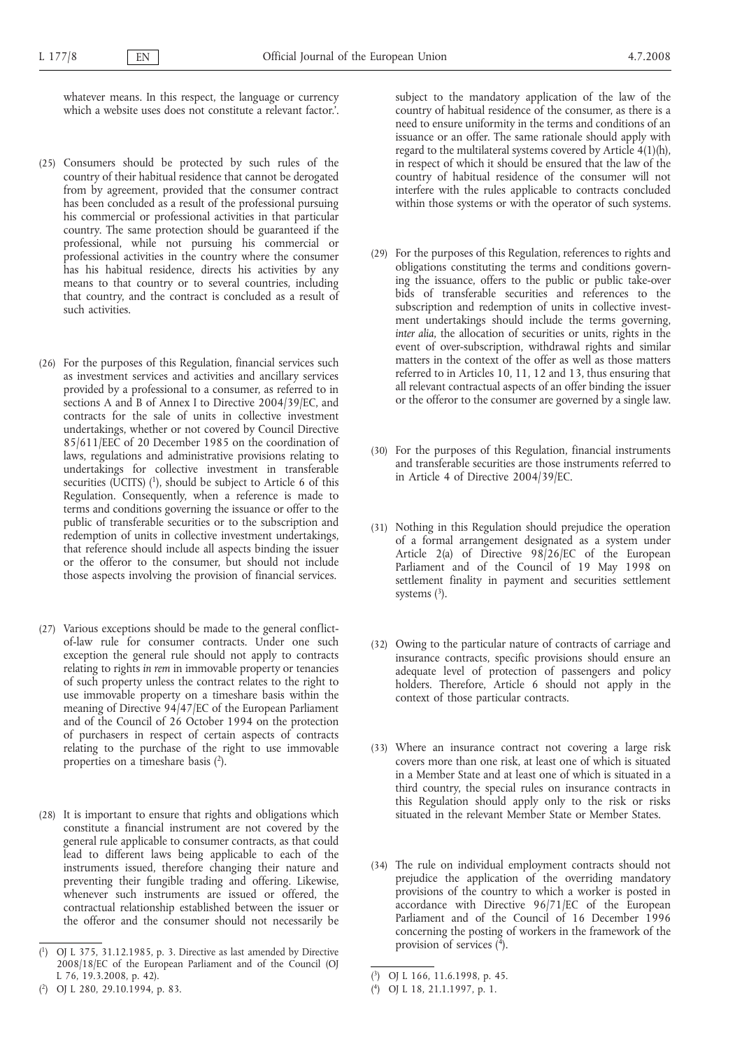whatever means. In this respect, the language or currency which a website uses does not constitute a relevant factor.'.

- (25) Consumers should be protected by such rules of the country of their habitual residence that cannot be derogated from by agreement, provided that the consumer contract has been concluded as a result of the professional pursuing his commercial or professional activities in that particular country. The same protection should be guaranteed if the professional, while not pursuing his commercial or professional activities in the country where the consumer has his habitual residence, directs his activities by any means to that country or to several countries, including that country, and the contract is concluded as a result of such activities.
- (26) For the purposes of this Regulation, financial services such as investment services and activities and ancillary services provided by a professional to a consumer, as referred to in sections A and B of Annex I to Directive 2004/39/EC, and contracts for the sale of units in collective investment undertakings, whether or not covered by Council Directive 85/611/EEC of 20 December 1985 on the coordination of laws, regulations and administrative provisions relating to undertakings for collective investment in transferable securities (UCITS)  $(1)$ , should be subject to Article 6 of this Regulation. Consequently, when a reference is made to terms and conditions governing the issuance or offer to the public of transferable securities or to the subscription and redemption of units in collective investment undertakings, that reference should include all aspects binding the issuer or the offeror to the consumer, but should not include those aspects involving the provision of financial services.
- (27) Various exceptions should be made to the general conflictof-law rule for consumer contracts. Under one such exception the general rule should not apply to contracts relating to rights *in rem* in immovable property or tenancies of such property unless the contract relates to the right to use immovable property on a timeshare basis within the meaning of Directive 94/47/EC of the European Parliament and of the Council of 26 October 1994 on the protection of purchasers in respect of certain aspects of contracts relating to the purchase of the right to use immovable properties on a timeshare basis (2).
- (28) It is important to ensure that rights and obligations which constitute a financial instrument are not covered by the general rule applicable to consumer contracts, as that could lead to different laws being applicable to each of the instruments issued, therefore changing their nature and preventing their fungible trading and offering. Likewise, whenever such instruments are issued or offered, the contractual relationship established between the issuer or the offeror and the consumer should not necessarily be

subject to the mandatory application of the law of the country of habitual residence of the consumer, as there is a need to ensure uniformity in the terms and conditions of an issuance or an offer. The same rationale should apply with regard to the multilateral systems covered by Article 4(1)(h), in respect of which it should be ensured that the law of the country of habitual residence of the consumer will not interfere with the rules applicable to contracts concluded within those systems or with the operator of such systems.

- (29) For the purposes of this Regulation, references to rights and obligations constituting the terms and conditions governing the issuance, offers to the public or public take-over bids of transferable securities and references to the subscription and redemption of units in collective investment undertakings should include the terms governing, *inter alia*, the allocation of securities or units, rights in the event of over-subscription, withdrawal rights and similar matters in the context of the offer as well as those matters referred to in Articles 10, 11, 12 and 13, thus ensuring that all relevant contractual aspects of an offer binding the issuer or the offeror to the consumer are governed by a single law.
- (30) For the purposes of this Regulation, financial instruments and transferable securities are those instruments referred to in Article 4 of Directive 2004/39/EC.
- (31) Nothing in this Regulation should prejudice the operation of a formal arrangement designated as a system under Article 2(a) of Directive 98/26/EC of the European Parliament and of the Council of 19 May 1998 on settlement finality in payment and securities settlement systems  $(3)$ .
- (32) Owing to the particular nature of contracts of carriage and insurance contracts, specific provisions should ensure an adequate level of protection of passengers and policy holders. Therefore, Article 6 should not apply in the context of those particular contracts.
- (33) Where an insurance contract not covering a large risk covers more than one risk, at least one of which is situated in a Member State and at least one of which is situated in a third country, the special rules on insurance contracts in this Regulation should apply only to the risk or risks situated in the relevant Member State or Member States.
- (34) The rule on individual employment contracts should not prejudice the application of the overriding mandatory provisions of the country to which a worker is posted in accordance with Directive 96/71/EC of the European Parliament and of the Council of 16 December 1996 concerning the posting of workers in the framework of the provision of services  $(\frac{4}{3})$ .

<sup>(</sup> 1) OJ L 375, 31.12.1985, p. 3. Directive as last amended by Directive 2008/18/EC of the European Parliament and of the Council (OJ L 76, 19.3.2008, p. 42).

<sup>(</sup> 2) OJ L 280, 29.10.1994, p. 83.

<sup>(</sup> 3) OJ L 166, 11.6.1998, p. 45.

<sup>(</sup> 4) OJ L 18, 21.1.1997, p. 1.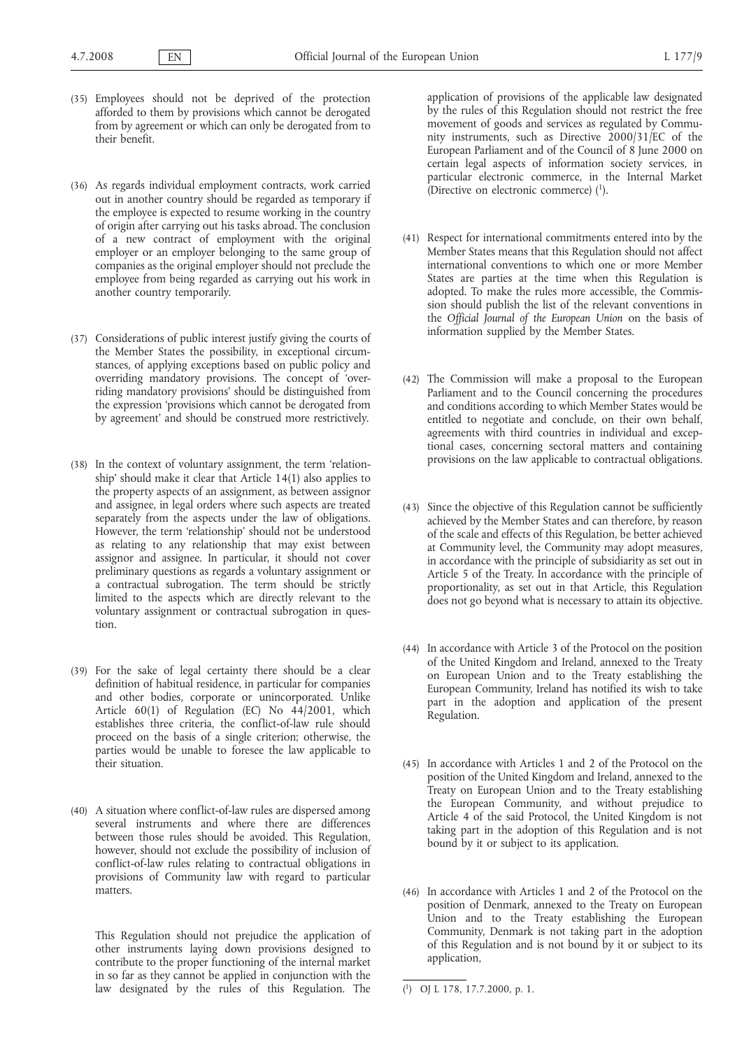- (35) Employees should not be deprived of the protection afforded to them by provisions which cannot be derogated from by agreement or which can only be derogated from to their benefit.
- (36) As regards individual employment contracts, work carried out in another country should be regarded as temporary if the employee is expected to resume working in the country of origin after carrying out his tasks abroad. The conclusion of a new contract of employment with the original employer or an employer belonging to the same group of companies as the original employer should not preclude the employee from being regarded as carrying out his work in another country temporarily.
- (37) Considerations of public interest justify giving the courts of the Member States the possibility, in exceptional circumstances, of applying exceptions based on public policy and overriding mandatory provisions. The concept of 'overriding mandatory provisions' should be distinguished from the expression 'provisions which cannot be derogated from by agreement' and should be construed more restrictively.
- (38) In the context of voluntary assignment, the term 'relationship' should make it clear that Article 14(1) also applies to the property aspects of an assignment, as between assignor and assignee, in legal orders where such aspects are treated separately from the aspects under the law of obligations. However, the term 'relationship' should not be understood as relating to any relationship that may exist between assignor and assignee. In particular, it should not cover preliminary questions as regards a voluntary assignment or a contractual subrogation. The term should be strictly limited to the aspects which are directly relevant to the voluntary assignment or contractual subrogation in question.
- (39) For the sake of legal certainty there should be a clear definition of habitual residence, in particular for companies and other bodies, corporate or unincorporated. Unlike Article 60(1) of Regulation (EC) No 44/2001, which establishes three criteria, the conflict-of-law rule should proceed on the basis of a single criterion; otherwise, the parties would be unable to foresee the law applicable to their situation.
- (40) A situation where conflict-of-law rules are dispersed among several instruments and where there are differences between those rules should be avoided. This Regulation, however, should not exclude the possibility of inclusion of conflict-of-law rules relating to contractual obligations in provisions of Community law with regard to particular matters.

This Regulation should not prejudice the application of other instruments laying down provisions designed to contribute to the proper functioning of the internal market in so far as they cannot be applied in conjunction with the law designated by the rules of this Regulation. The

application of provisions of the applicable law designated by the rules of this Regulation should not restrict the free movement of goods and services as regulated by Community instruments, such as Directive 2000/31/EC of the European Parliament and of the Council of 8 June 2000 on certain legal aspects of information society services, in particular electronic commerce, in the Internal Market (Directive on electronic commerce)  $(1)$ .

- (41) Respect for international commitments entered into by the Member States means that this Regulation should not affect international conventions to which one or more Member States are parties at the time when this Regulation is adopted. To make the rules more accessible, the Commission should publish the list of the relevant conventions in the *Official Journal of the European Union* on the basis of information supplied by the Member States.
- (42) The Commission will make a proposal to the European Parliament and to the Council concerning the procedures and conditions according to which Member States would be entitled to negotiate and conclude, on their own behalf, agreements with third countries in individual and exceptional cases, concerning sectoral matters and containing provisions on the law applicable to contractual obligations.
- (43) Since the objective of this Regulation cannot be sufficiently achieved by the Member States and can therefore, by reason of the scale and effects of this Regulation, be better achieved at Community level, the Community may adopt measures, in accordance with the principle of subsidiarity as set out in Article 5 of the Treaty. In accordance with the principle of proportionality, as set out in that Article, this Regulation does not go beyond what is necessary to attain its objective.
- (44) In accordance with Article 3 of the Protocol on the position of the United Kingdom and Ireland, annexed to the Treaty on European Union and to the Treaty establishing the European Community, Ireland has notified its wish to take part in the adoption and application of the present Regulation.
- (45) In accordance with Articles 1 and 2 of the Protocol on the position of the United Kingdom and Ireland, annexed to the Treaty on European Union and to the Treaty establishing the European Community, and without prejudice to Article 4 of the said Protocol, the United Kingdom is not taking part in the adoption of this Regulation and is not bound by it or subject to its application.
- (46) In accordance with Articles 1 and 2 of the Protocol on the position of Denmark, annexed to the Treaty on European Union and to the Treaty establishing the European Community, Denmark is not taking part in the adoption of this Regulation and is not bound by it or subject to its application,

<sup>(</sup> 1) OJ L 178, 17.7.2000, p. 1.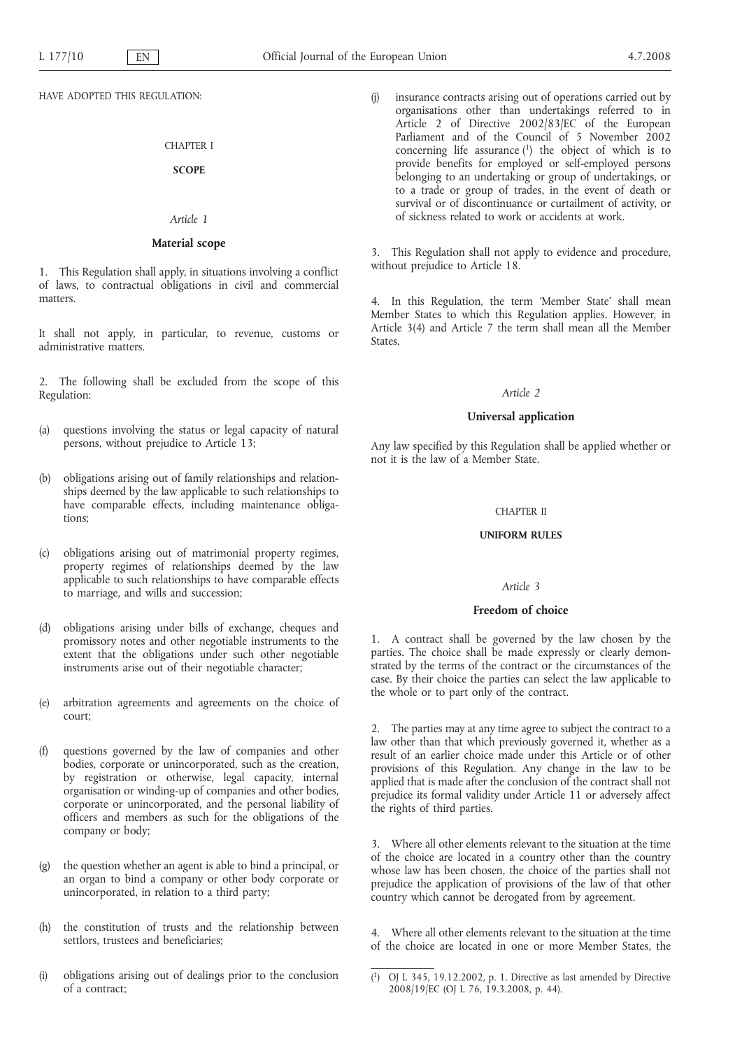HAVE ADOPTED THIS REGULATION:

# CHAPTER I

# **SCOPE**

#### *Article 1*

### **Material scope**

1. This Regulation shall apply, in situations involving a conflict of laws, to contractual obligations in civil and commercial matters.

It shall not apply, in particular, to revenue, customs or administrative matters.

2. The following shall be excluded from the scope of this Regulation:

- (a) questions involving the status or legal capacity of natural persons, without prejudice to Article 13;
- obligations arising out of family relationships and relationships deemed by the law applicable to such relationships to have comparable effects, including maintenance obligations;
- (c) obligations arising out of matrimonial property regimes, property regimes of relationships deemed by the law applicable to such relationships to have comparable effects to marriage, and wills and succession;
- (d) obligations arising under bills of exchange, cheques and promissory notes and other negotiable instruments to the extent that the obligations under such other negotiable instruments arise out of their negotiable character;
- (e) arbitration agreements and agreements on the choice of court;
- (f) questions governed by the law of companies and other bodies, corporate or unincorporated, such as the creation, by registration or otherwise, legal capacity, internal organisation or winding-up of companies and other bodies, corporate or unincorporated, and the personal liability of officers and members as such for the obligations of the company or body;
- (g) the question whether an agent is able to bind a principal, or an organ to bind a company or other body corporate or unincorporated, in relation to a third party;
- (h) the constitution of trusts and the relationship between settlors, trustees and beneficiaries;
- (i) obligations arising out of dealings prior to the conclusion of a contract;

(j) insurance contracts arising out of operations carried out by organisations other than undertakings referred to in Article 2 of Directive 2002/83/EC of the European Parliament and of the Council of 5 November 2002 concerning life assurance  $(1)$  the object of which is to provide benefits for employed or self-employed persons belonging to an undertaking or group of undertakings, or to a trade or group of trades, in the event of death or survival or of discontinuance or curtailment of activity, or of sickness related to work or accidents at work.

3. This Regulation shall not apply to evidence and procedure, without prejudice to Article 18.

4. In this Regulation, the term 'Member State' shall mean Member States to which this Regulation applies. However, in Article 3(4) and Article 7 the term shall mean all the Member States.

### *Article 2*

# **Universal application**

Any law specified by this Regulation shall be applied whether or not it is the law of a Member State.

#### CHAPTER II

#### **UNIFORM RULES**

### *Article 3*

# **Freedom of choice**

1. A contract shall be governed by the law chosen by the parties. The choice shall be made expressly or clearly demonstrated by the terms of the contract or the circumstances of the case. By their choice the parties can select the law applicable to the whole or to part only of the contract.

2. The parties may at any time agree to subject the contract to a law other than that which previously governed it, whether as a result of an earlier choice made under this Article or of other provisions of this Regulation. Any change in the law to be applied that is made after the conclusion of the contract shall not prejudice its formal validity under Article 11 or adversely affect the rights of third parties.

3. Where all other elements relevant to the situation at the time of the choice are located in a country other than the country whose law has been chosen, the choice of the parties shall not prejudice the application of provisions of the law of that other country which cannot be derogated from by agreement.

4. Where all other elements relevant to the situation at the time of the choice are located in one or more Member States, the

 $\left( \begin{smallmatrix} 1 \\ \end{smallmatrix} \right)$ 1) OJ L 345, 19.12.2002, p. 1. Directive as last amended by Directive 2008/19/EC (OJ L 76, 19.3.2008, p. 44).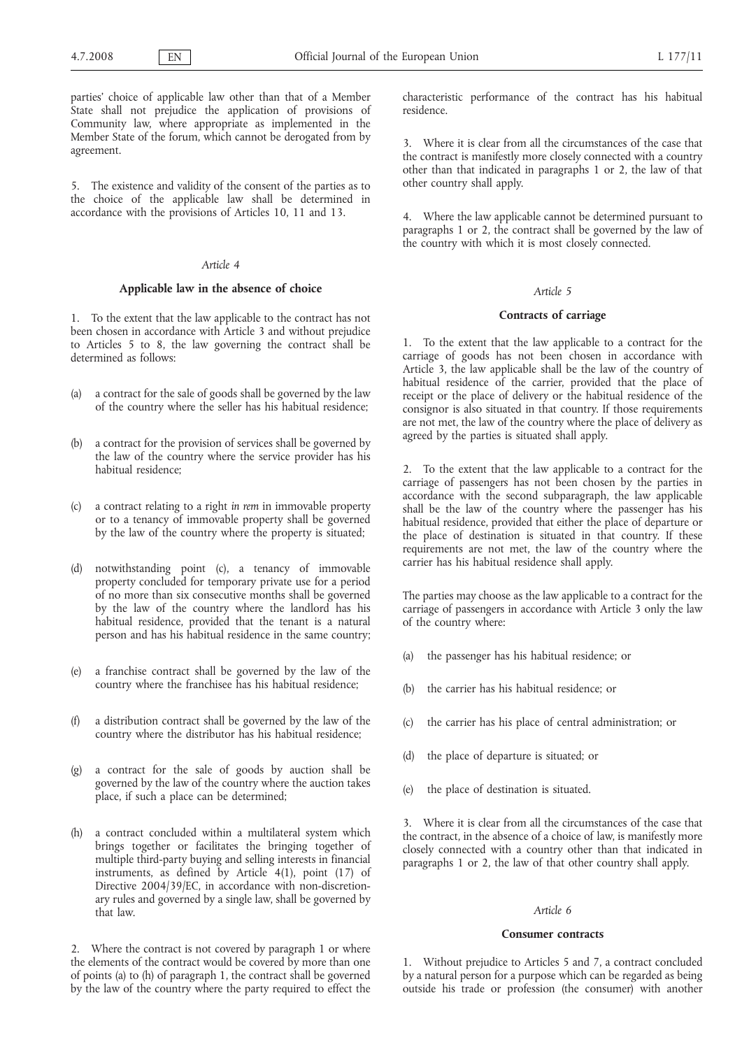parties' choice of applicable law other than that of a Member State shall not prejudice the application of provisions of Community law, where appropriate as implemented in the Member State of the forum, which cannot be derogated from by agreement.

5. The existence and validity of the consent of the parties as to the choice of the applicable law shall be determined in accordance with the provisions of Articles 10, 11 and 13.

# *Article 4*

## **Applicable law in the absence of choice**

1. To the extent that the law applicable to the contract has not been chosen in accordance with Article 3 and without prejudice to Articles 5 to 8, the law governing the contract shall be determined as follows:

- (a) a contract for the sale of goods shall be governed by the law of the country where the seller has his habitual residence;
- a contract for the provision of services shall be governed by the law of the country where the service provider has his habitual residence;
- (c) a contract relating to a right *in rem* in immovable property or to a tenancy of immovable property shall be governed by the law of the country where the property is situated;
- (d) notwithstanding point (c), a tenancy of immovable property concluded for temporary private use for a period of no more than six consecutive months shall be governed by the law of the country where the landlord has his habitual residence, provided that the tenant is a natural person and has his habitual residence in the same country;
- (e) a franchise contract shall be governed by the law of the country where the franchisee has his habitual residence;
- (f) a distribution contract shall be governed by the law of the country where the distributor has his habitual residence;
- (g) a contract for the sale of goods by auction shall be governed by the law of the country where the auction takes place, if such a place can be determined;
- (h) a contract concluded within a multilateral system which brings together or facilitates the bringing together of multiple third-party buying and selling interests in financial instruments, as defined by Article 4(1), point (17) of Directive 2004/39/EC, in accordance with non-discretionary rules and governed by a single law, shall be governed by that law.

2. Where the contract is not covered by paragraph 1 or where the elements of the contract would be covered by more than one of points (a) to (h) of paragraph 1, the contract shall be governed by the law of the country where the party required to effect the characteristic performance of the contract has his habitual residence.

3. Where it is clear from all the circumstances of the case that the contract is manifestly more closely connected with a country other than that indicated in paragraphs 1 or 2, the law of that other country shall apply.

4. Where the law applicable cannot be determined pursuant to paragraphs 1 or 2, the contract shall be governed by the law of the country with which it is most closely connected.

#### *Article 5*

### **Contracts of carriage**

1. To the extent that the law applicable to a contract for the carriage of goods has not been chosen in accordance with Article 3, the law applicable shall be the law of the country of habitual residence of the carrier, provided that the place of receipt or the place of delivery or the habitual residence of the consignor is also situated in that country. If those requirements are not met, the law of the country where the place of delivery as agreed by the parties is situated shall apply.

2. To the extent that the law applicable to a contract for the carriage of passengers has not been chosen by the parties in accordance with the second subparagraph, the law applicable shall be the law of the country where the passenger has his habitual residence, provided that either the place of departure or the place of destination is situated in that country. If these requirements are not met, the law of the country where the carrier has his habitual residence shall apply.

The parties may choose as the law applicable to a contract for the carriage of passengers in accordance with Article 3 only the law of the country where:

- (a) the passenger has his habitual residence; or
- (b) the carrier has his habitual residence; or
- (c) the carrier has his place of central administration; or
- (d) the place of departure is situated; or
- (e) the place of destination is situated.

3. Where it is clear from all the circumstances of the case that the contract, in the absence of a choice of law, is manifestly more closely connected with a country other than that indicated in paragraphs 1 or 2, the law of that other country shall apply.

# *Article 6*

#### **Consumer contracts**

1. Without prejudice to Articles 5 and 7, a contract concluded by a natural person for a purpose which can be regarded as being outside his trade or profession (the consumer) with another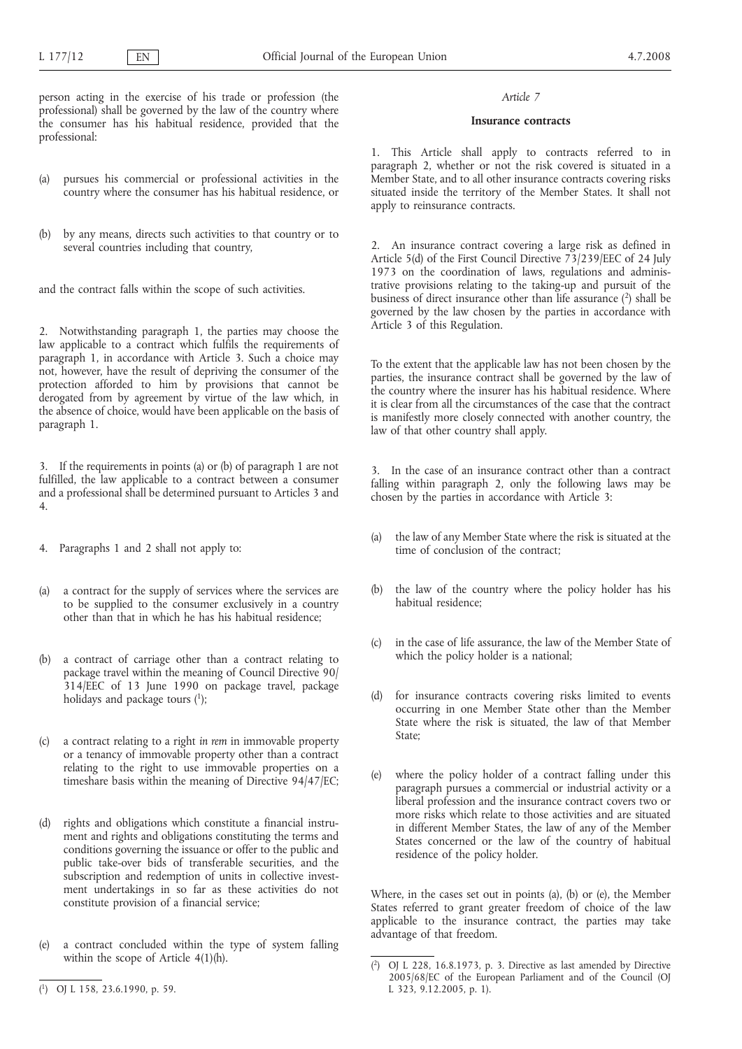person acting in the exercise of his trade or profession (the professional) shall be governed by the law of the country where the consumer has his habitual residence, provided that the professional:

- (a) pursues his commercial or professional activities in the country where the consumer has his habitual residence, or
- (b) by any means, directs such activities to that country or to several countries including that country,

and the contract falls within the scope of such activities.

2. Notwithstanding paragraph 1, the parties may choose the law applicable to a contract which fulfils the requirements of paragraph 1, in accordance with Article 3. Such a choice may not, however, have the result of depriving the consumer of the protection afforded to him by provisions that cannot be derogated from by agreement by virtue of the law which, in the absence of choice, would have been applicable on the basis of paragraph 1.

3. If the requirements in points (a) or (b) of paragraph 1 are not fulfilled, the law applicable to a contract between a consumer and a professional shall be determined pursuant to Articles 3 and 4.

- 4. Paragraphs 1 and 2 shall not apply to:
- a contract for the supply of services where the services are to be supplied to the consumer exclusively in a country other than that in which he has his habitual residence;
- (b) a contract of carriage other than a contract relating to package travel within the meaning of Council Directive 90/ 314/EEC of 13 June 1990 on package travel, package holidays and package tours  $(1)$ ;
- (c) a contract relating to a right *in rem* in immovable property or a tenancy of immovable property other than a contract relating to the right to use immovable properties on a timeshare basis within the meaning of Directive 94/47/EC;
- (d) rights and obligations which constitute a financial instrument and rights and obligations constituting the terms and conditions governing the issuance or offer to the public and public take-over bids of transferable securities, and the subscription and redemption of units in collective investment undertakings in so far as these activities do not constitute provision of a financial service;
- (e) a contract concluded within the type of system falling within the scope of Article 4(1)(h).
- ( 1) OJ L 158, 23.6.1990, p. 59.

# *Article 7*

# **Insurance contracts**

1. This Article shall apply to contracts referred to in paragraph 2, whether or not the risk covered is situated in a Member State, and to all other insurance contracts covering risks situated inside the territory of the Member States. It shall not apply to reinsurance contracts.

2. An insurance contract covering a large risk as defined in Article 5(d) of the First Council Directive 73/239/EEC of 24 July 1973 on the coordination of laws, regulations and administrative provisions relating to the taking-up and pursuit of the business of direct insurance other than life assurance  $(2)$  shall be governed by the law chosen by the parties in accordance with Article 3 of this Regulation.

To the extent that the applicable law has not been chosen by the parties, the insurance contract shall be governed by the law of the country where the insurer has his habitual residence. Where it is clear from all the circumstances of the case that the contract is manifestly more closely connected with another country, the law of that other country shall apply.

3. In the case of an insurance contract other than a contract falling within paragraph 2, only the following laws may be chosen by the parties in accordance with Article 3:

- (a) the law of any Member State where the risk is situated at the time of conclusion of the contract;
- (b) the law of the country where the policy holder has his habitual residence;
- (c) in the case of life assurance, the law of the Member State of which the policy holder is a national;
- for insurance contracts covering risks limited to events occurring in one Member State other than the Member State where the risk is situated, the law of that Member State;
- (e) where the policy holder of a contract falling under this paragraph pursues a commercial or industrial activity or a liberal profession and the insurance contract covers two or more risks which relate to those activities and are situated in different Member States, the law of any of the Member States concerned or the law of the country of habitual residence of the policy holder.

Where, in the cases set out in points (a), (b) or (e), the Member States referred to grant greater freedom of choice of the law applicable to the insurance contract, the parties may take advantage of that freedom.

 $(2)$ 2) OJ L 228, 16.8.1973, p. 3. Directive as last amended by Directive 2005/68/EC of the European Parliament and of the Council (OJ L 323, 9.12.2005, p. 1).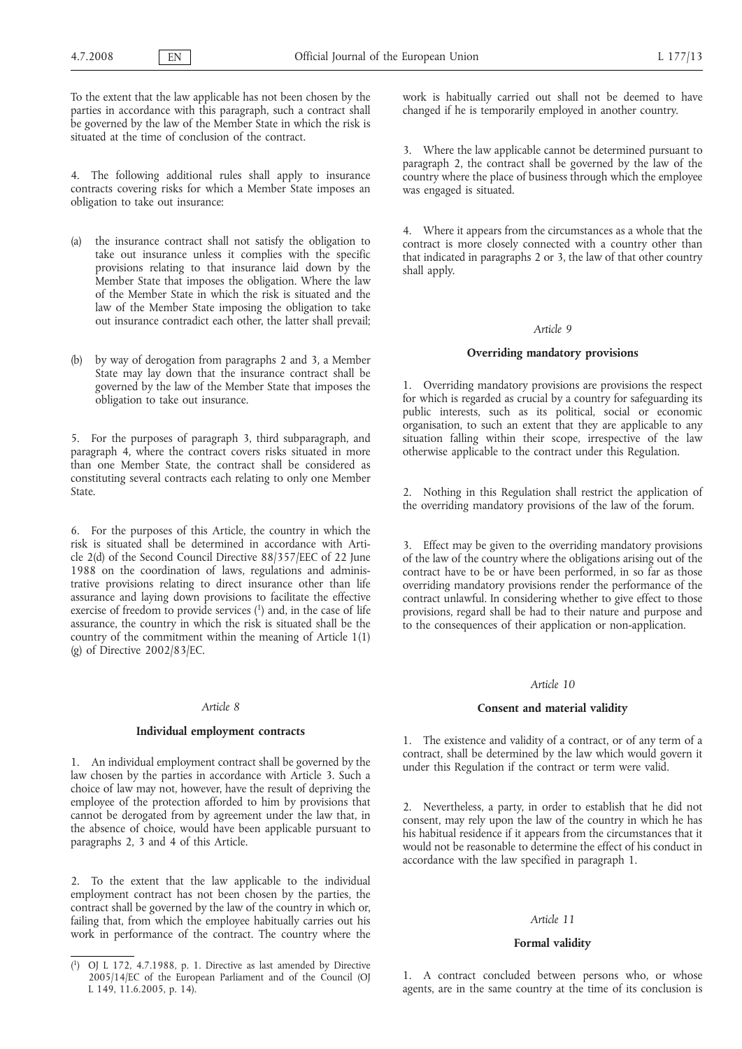To the extent that the law applicable has not been chosen by the parties in accordance with this paragraph, such a contract shall be governed by the law of the Member State in which the risk is situated at the time of conclusion of the contract.

4. The following additional rules shall apply to insurance contracts covering risks for which a Member State imposes an obligation to take out insurance:

- (a) the insurance contract shall not satisfy the obligation to take out insurance unless it complies with the specific provisions relating to that insurance laid down by the Member State that imposes the obligation. Where the law of the Member State in which the risk is situated and the law of the Member State imposing the obligation to take out insurance contradict each other, the latter shall prevail;
- (b) by way of derogation from paragraphs 2 and 3, a Member State may lay down that the insurance contract shall be governed by the law of the Member State that imposes the obligation to take out insurance.

5. For the purposes of paragraph 3, third subparagraph, and paragraph 4, where the contract covers risks situated in more than one Member State, the contract shall be considered as constituting several contracts each relating to only one Member State.

6. For the purposes of this Article, the country in which the risk is situated shall be determined in accordance with Article 2(d) of the Second Council Directive 88/357/EEC of 22 June 1988 on the coordination of laws, regulations and administrative provisions relating to direct insurance other than life assurance and laying down provisions to facilitate the effective exercise of freedom to provide services  $(1)$  and, in the case of life assurance, the country in which the risk is situated shall be the country of the commitment within the meaning of Article 1(1) (g) of Directive 2002/83/EC.

#### *Article 8*

### **Individual employment contracts**

1. An individual employment contract shall be governed by the law chosen by the parties in accordance with Article 3. Such a choice of law may not, however, have the result of depriving the employee of the protection afforded to him by provisions that cannot be derogated from by agreement under the law that, in the absence of choice, would have been applicable pursuant to paragraphs 2, 3 and 4 of this Article.

2. To the extent that the law applicable to the individual employment contract has not been chosen by the parties, the contract shall be governed by the law of the country in which or, failing that, from which the employee habitually carries out his work in performance of the contract. The country where the work is habitually carried out shall not be deemed to have changed if he is temporarily employed in another country.

3. Where the law applicable cannot be determined pursuant to paragraph 2, the contract shall be governed by the law of the country where the place of business through which the employee was engaged is situated.

4. Where it appears from the circumstances as a whole that the contract is more closely connected with a country other than that indicated in paragraphs 2 or 3, the law of that other country shall apply.

#### *Article 9*

### **Overriding mandatory provisions**

1. Overriding mandatory provisions are provisions the respect for which is regarded as crucial by a country for safeguarding its public interests, such as its political, social or economic organisation, to such an extent that they are applicable to any situation falling within their scope, irrespective of the law otherwise applicable to the contract under this Regulation.

2. Nothing in this Regulation shall restrict the application of the overriding mandatory provisions of the law of the forum.

3. Effect may be given to the overriding mandatory provisions of the law of the country where the obligations arising out of the contract have to be or have been performed, in so far as those overriding mandatory provisions render the performance of the contract unlawful. In considering whether to give effect to those provisions, regard shall be had to their nature and purpose and to the consequences of their application or non-application.

#### *Article 10*

### **Consent and material validity**

1. The existence and validity of a contract, or of any term of a contract, shall be determined by the law which would govern it under this Regulation if the contract or term were valid.

2. Nevertheless, a party, in order to establish that he did not consent, may rely upon the law of the country in which he has his habitual residence if it appears from the circumstances that it would not be reasonable to determine the effect of his conduct in accordance with the law specified in paragraph 1.

# *Article 11*

#### **Formal validity**

1. A contract concluded between persons who, or whose agents, are in the same country at the time of its conclusion is

 $(1)$ 1) OJ L 172, 4.7.1988, p. 1. Directive as last amended by Directive 2005/14/EC of the European Parliament and of the Council (OJ L 149, 11.6.2005, p. 14).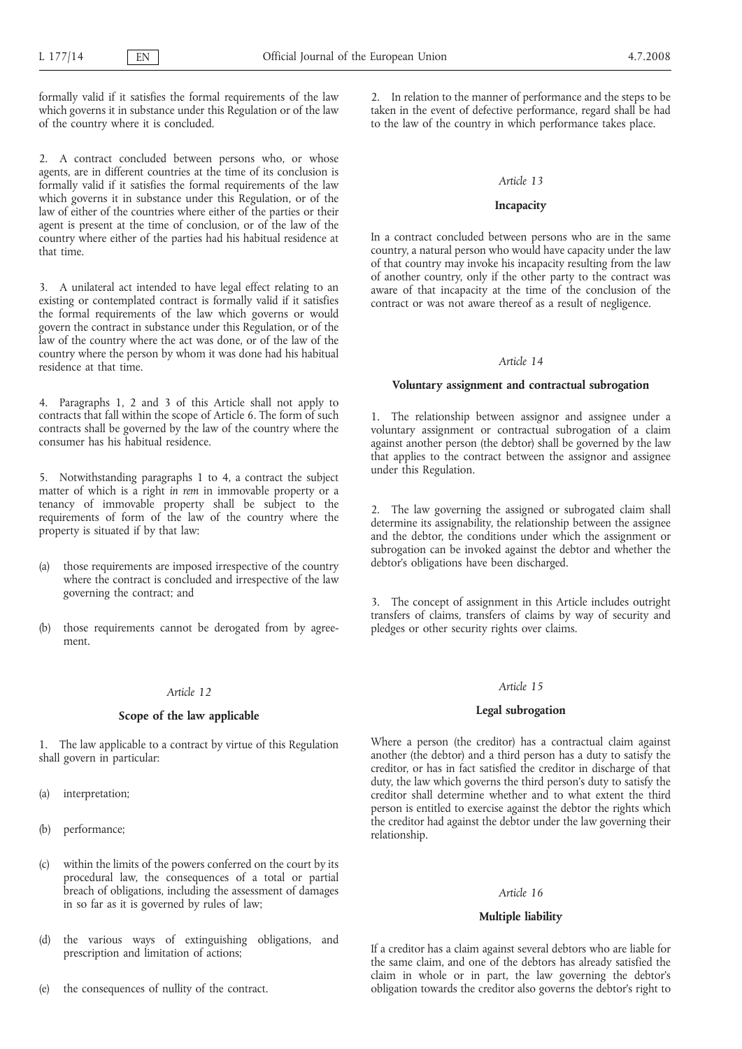formally valid if it satisfies the formal requirements of the law which governs it in substance under this Regulation or of the law of the country where it is concluded.

2. A contract concluded between persons who, or whose agents, are in different countries at the time of its conclusion is formally valid if it satisfies the formal requirements of the law which governs it in substance under this Regulation, or of the law of either of the countries where either of the parties or their agent is present at the time of conclusion, or of the law of the country where either of the parties had his habitual residence at that time.

3. A unilateral act intended to have legal effect relating to an existing or contemplated contract is formally valid if it satisfies the formal requirements of the law which governs or would govern the contract in substance under this Regulation, or of the law of the country where the act was done, or of the law of the country where the person by whom it was done had his habitual residence at that time.

4. Paragraphs 1, 2 and 3 of this Article shall not apply to contracts that fall within the scope of Article 6. The form of such contracts shall be governed by the law of the country where the consumer has his habitual residence.

5. Notwithstanding paragraphs 1 to 4, a contract the subject matter of which is a right *in rem* in immovable property or a tenancy of immovable property shall be subject to the requirements of form of the law of the country where the property is situated if by that law:

- (a) those requirements are imposed irrespective of the country where the contract is concluded and irrespective of the law governing the contract; and
- (b) those requirements cannot be derogated from by agreement.

## *Article 12*

# **Scope of the law applicable**

1. The law applicable to a contract by virtue of this Regulation shall govern in particular:

- (a) interpretation;
- (b) performance;
- (c) within the limits of the powers conferred on the court by its procedural law, the consequences of a total or partial breach of obligations, including the assessment of damages in so far as it is governed by rules of law;
- (d) the various ways of extinguishing obligations, and prescription and limitation of actions;
- (e) the consequences of nullity of the contract.

2. In relation to the manner of performance and the steps to be taken in the event of defective performance, regard shall be had to the law of the country in which performance takes place.

#### *Article 13*

#### **Incapacity**

In a contract concluded between persons who are in the same country, a natural person who would have capacity under the law of that country may invoke his incapacity resulting from the law of another country, only if the other party to the contract was aware of that incapacity at the time of the conclusion of the contract or was not aware thereof as a result of negligence.

### *Article 14*

### **Voluntary assignment and contractual subrogation**

1. The relationship between assignor and assignee under a voluntary assignment or contractual subrogation of a claim against another person (the debtor) shall be governed by the law that applies to the contract between the assignor and assignee under this Regulation.

2. The law governing the assigned or subrogated claim shall determine its assignability, the relationship between the assignee and the debtor, the conditions under which the assignment or subrogation can be invoked against the debtor and whether the debtor's obligations have been discharged.

3. The concept of assignment in this Article includes outright transfers of claims, transfers of claims by way of security and pledges or other security rights over claims.

#### *Article 15*

### **Legal subrogation**

Where a person (the creditor) has a contractual claim against another (the debtor) and a third person has a duty to satisfy the creditor, or has in fact satisfied the creditor in discharge of that duty, the law which governs the third person's duty to satisfy the creditor shall determine whether and to what extent the third person is entitled to exercise against the debtor the rights which the creditor had against the debtor under the law governing their relationship.

#### *Article 16*

### **Multiple liability**

If a creditor has a claim against several debtors who are liable for the same claim, and one of the debtors has already satisfied the claim in whole or in part, the law governing the debtor's obligation towards the creditor also governs the debtor's right to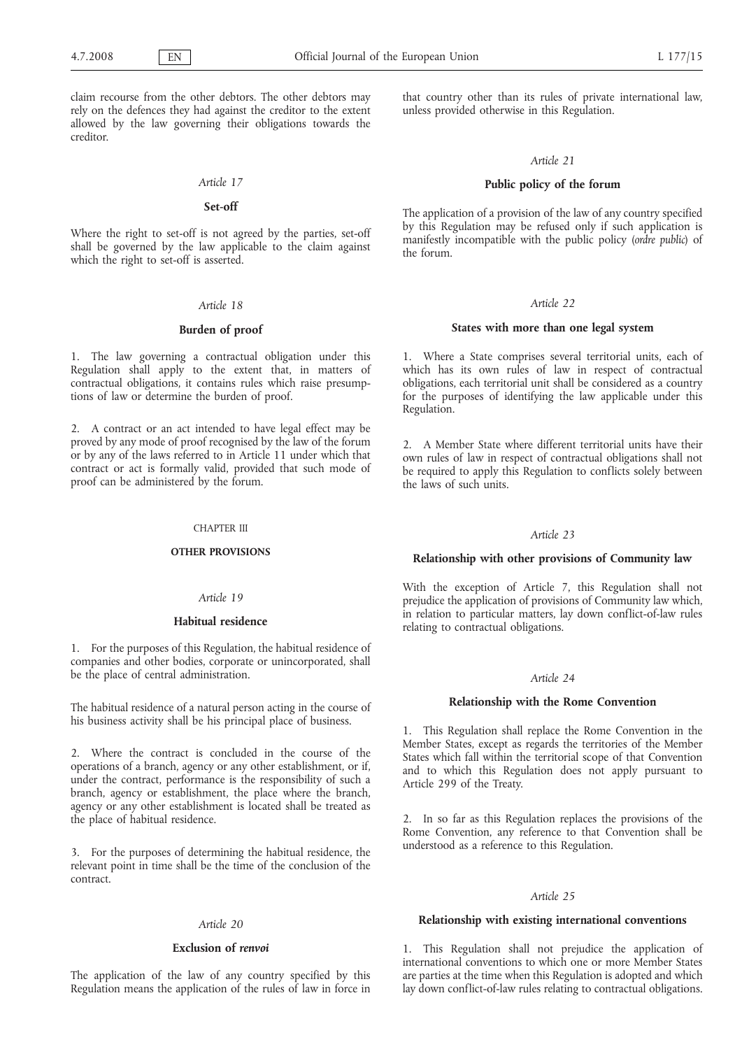claim recourse from the other debtors. The other debtors may rely on the defences they had against the creditor to the extent allowed by the law governing their obligations towards the creditor.

### *Article 17*

# **Set-off**

Where the right to set-off is not agreed by the parties, set-off shall be governed by the law applicable to the claim against which the right to set-off is asserted.

# *Article 18*

# **Burden of proof**

1. The law governing a contractual obligation under this Regulation shall apply to the extent that, in matters of contractual obligations, it contains rules which raise presumptions of law or determine the burden of proof.

2. A contract or an act intended to have legal effect may be proved by any mode of proof recognised by the law of the forum or by any of the laws referred to in Article 11 under which that contract or act is formally valid, provided that such mode of proof can be administered by the forum.

#### CHAPTER III

#### **OTHER PROVISIONS**

### *Article 19*

#### **Habitual residence**

1. For the purposes of this Regulation, the habitual residence of companies and other bodies, corporate or unincorporated, shall be the place of central administration.

The habitual residence of a natural person acting in the course of his business activity shall be his principal place of business.

2. Where the contract is concluded in the course of the operations of a branch, agency or any other establishment, or if, under the contract, performance is the responsibility of such a branch, agency or establishment, the place where the branch, agency or any other establishment is located shall be treated as the place of habitual residence.

3. For the purposes of determining the habitual residence, the relevant point in time shall be the time of the conclusion of the contract.

# *Article 20*

### **Exclusion of** *renvoi*

The application of the law of any country specified by this Regulation means the application of the rules of law in force in that country other than its rules of private international law, unless provided otherwise in this Regulation.

#### *Article 21*

# **Public policy of the forum**

The application of a provision of the law of any country specified by this Regulation may be refused only if such application is manifestly incompatible with the public policy (*ordre public*) of the forum.

#### *Article 22*

#### **States with more than one legal system**

1. Where a State comprises several territorial units, each of which has its own rules of law in respect of contractual obligations, each territorial unit shall be considered as a country for the purposes of identifying the law applicable under this Regulation.

2. A Member State where different territorial units have their own rules of law in respect of contractual obligations shall not be required to apply this Regulation to conflicts solely between the laws of such units.

#### *Article 23*

### **Relationship with other provisions of Community law**

With the exception of Article 7, this Regulation shall not prejudice the application of provisions of Community law which, in relation to particular matters, lay down conflict-of-law rules relating to contractual obligations.

# *Article 24*

### **Relationship with the Rome Convention**

1. This Regulation shall replace the Rome Convention in the Member States, except as regards the territories of the Member States which fall within the territorial scope of that Convention and to which this Regulation does not apply pursuant to Article 299 of the Treaty.

2. In so far as this Regulation replaces the provisions of the Rome Convention, any reference to that Convention shall be understood as a reference to this Regulation.

#### *Article 25*

## **Relationship with existing international conventions**

1. This Regulation shall not prejudice the application of international conventions to which one or more Member States are parties at the time when this Regulation is adopted and which lay down conflict-of-law rules relating to contractual obligations.